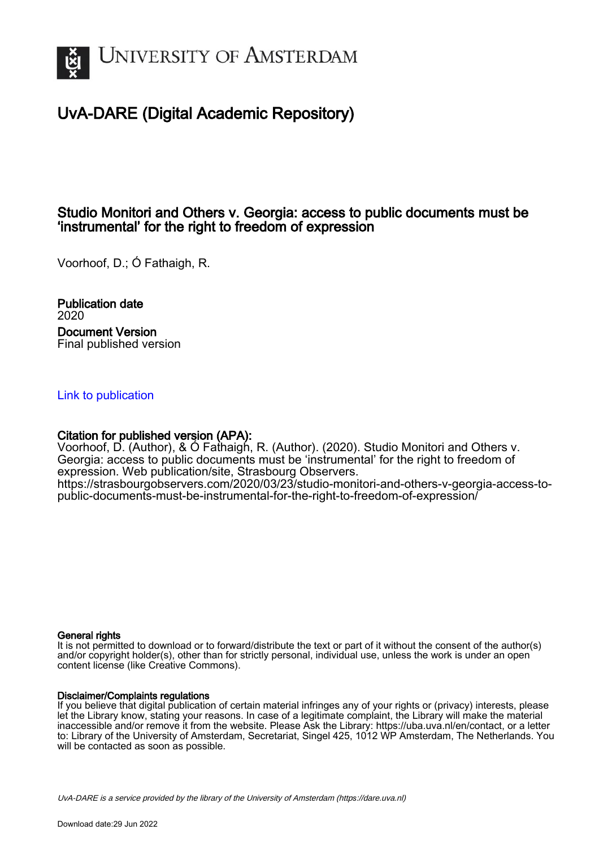

# UvA-DARE (Digital Academic Repository)

### Studio Monitori and Others v. Georgia: access to public documents must be 'instrumental' for the right to freedom of expression

Voorhoof, D.; Ó Fathaigh, R.

Publication date 2020 Document Version Final published version

### [Link to publication](https://dare.uva.nl/personal/pure/en/publications/studio-monitori-and-others-v-georgia-access-to-public-documents-must-be-instrumental-for-the-right-to-freedom-of-expression(e50c327d-c3ba-4c73-b1fe-a154eb506030).html)

### Citation for published version (APA):

Voorhoof, D. (Author), & Ó Fathaigh, R. (Author). (2020). Studio Monitori and Others v. Georgia: access to public documents must be 'instrumental' for the right to freedom of expression. Web publication/site, Strasbourg Observers. [https://strasbourgobservers.com/2020/03/23/studio-monitori-and-others-v-georgia-access-to](https://strasbourgobservers.com/2020/03/23/studio-monitori-and-others-v-georgia-access-to-public-documents-must-be-instrumental-for-the-right-to-freedom-of-expression/)[public-documents-must-be-instrumental-for-the-right-to-freedom-of-expression/](https://strasbourgobservers.com/2020/03/23/studio-monitori-and-others-v-georgia-access-to-public-documents-must-be-instrumental-for-the-right-to-freedom-of-expression/)

### General rights

It is not permitted to download or to forward/distribute the text or part of it without the consent of the author(s) and/or copyright holder(s), other than for strictly personal, individual use, unless the work is under an open content license (like Creative Commons).

### Disclaimer/Complaints regulations

If you believe that digital publication of certain material infringes any of your rights or (privacy) interests, please let the Library know, stating your reasons. In case of a legitimate complaint, the Library will make the material inaccessible and/or remove it from the website. Please Ask the Library: https://uba.uva.nl/en/contact, or a letter to: Library of the University of Amsterdam, Secretariat, Singel 425, 1012 WP Amsterdam, The Netherlands. You will be contacted as soon as possible.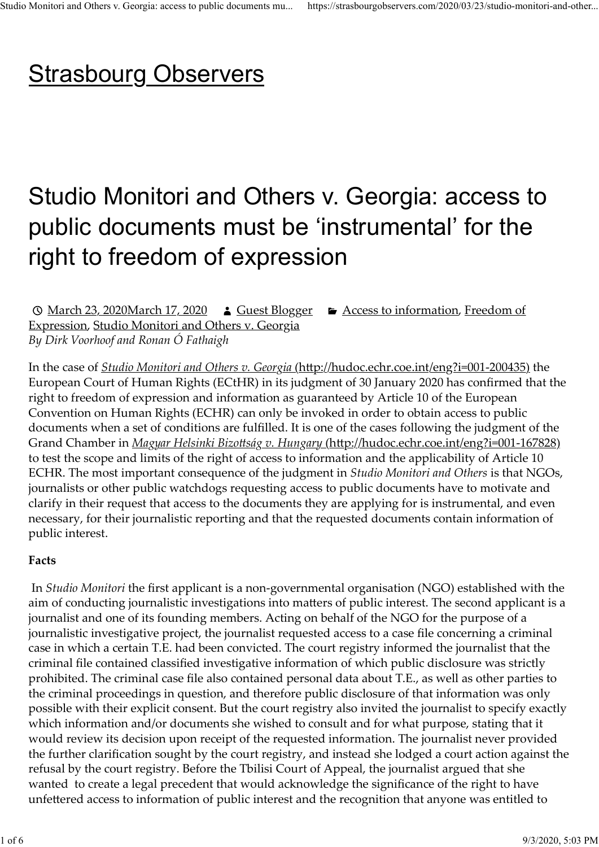# **Strasbourg Observers** Studio Monitori and Others v. Georgia: access to public documents mu... https://strasbourgobservers.com/2020/03/23/studio-monitori-and-other...<br>
C trocholine C LIFO C LIFO C LIFO C LIFO C LIFO C LIFO C LIFO C LIFO C LIFO C

# Studio Monitori and Others v. Georgia: access to public documents must be 'instrumental' for the right to freedom of expression

© March 23, 2020March 17, 2020 **A** Guest Blogger **E** Access to information, Freedom of Expression, Studio Monitori and Others v. Georgia By Dirk Voorhoof and Ronan Ó Fathaigh

In the case of *Studio Monitori and Others v. Georgia* (http://hudoc.echr.coe.int/eng?i=001-200435) the European Court of Human Rights (ECtHR) in its judgment of 30 January 2020 has confirmed that the right to freedom of expression and information as guaranteed by Article 10 of the European Convention on Human Rights (ECHR) can only be invoked in order to obtain access to public documents when a set of conditions are fulfilled. It is one of the cases following the judgment of the Grand Chamber in *Magyar Helsinki Bizottság v. Hungary (http://hudoc.echr.coe.int/eng?i=001-167828)* to test the scope and limits of the right of access to information and the applicability of Article 10 ECHR. The most important consequence of the judgment in Studio Monitori and Others is that NGOs, journalists or other public watchdogs requesting access to public documents have to motivate and clarify in their request that access to the documents they are applying for is instrumental, and even necessary, for their journalistic reporting and that the requested documents contain information of public interest.

## Facts

In Studio Monitori the first applicant is a non-governmental organisation (NGO) established with the aim of conducting journalistic investigations into matters of public interest. The second applicant is a journalist and one of its founding members. Acting on behalf of the NGO for the purpose of a journalistic investigative project, the journalist requested access to a case file concerning a criminal case in which a certain T.E. had been convicted. The court registry informed the journalist that the criminal file contained classified investigative information of which public disclosure was strictly prohibited. The criminal case file also contained personal data about T.E., as well as other parties to the criminal proceedings in question, and therefore public disclosure of that information was only possible with their explicit consent. But the court registry also invited the journalist to specify exactly which information and/or documents she wished to consult and for what purpose, stating that it would review its decision upon receipt of the requested information. The journalist never provided the further clarification sought by the court registry, and instead she lodged a court action against the refusal by the court registry. Before the Tbilisi Court of Appeal, the journalist argued that she wanted to create a legal precedent that would acknowledge the significance of the right to have unfettered access to information of public interest and the recognition that anyone was entitled to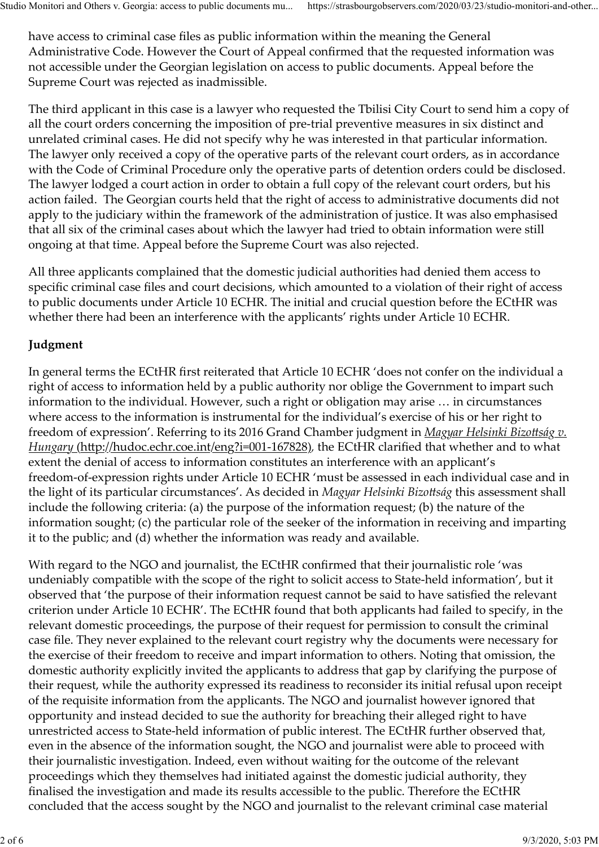have access to criminal case files as public information within the meaning the General Administrative Code. However the Court of Appeal confirmed that the requested information was not accessible under the Georgian legislation on access to public documents. Appeal before the Supreme Court was rejected as inadmissible. Studio Monitori and Others v. Georgia: access to public documents mu... https://strasbourgobservers.com/2020/03/23/studio-monitori-and-other...<br>have access to criminal case files as public information within the meaning th

The third applicant in this case is a lawyer who requested the Tbilisi City Court to send him a copy of all the court orders concerning the imposition of pre-trial preventive measures in six distinct and unrelated criminal cases. He did not specify why he was interested in that particular information. The lawyer only received a copy of the operative parts of the relevant court orders, as in accordance with the Code of Criminal Procedure only the operative parts of detention orders could be disclosed. The lawyer lodged a court action in order to obtain a full copy of the relevant court orders, but his action failed. The Georgian courts held that the right of access to administrative documents did not apply to the judiciary within the framework of the administration of justice. It was also emphasised that all six of the criminal cases about which the lawyer had tried to obtain information were still ongoing at that time. Appeal before the Supreme Court was also rejected.

All three applicants complained that the domestic judicial authorities had denied them access to specific criminal case files and court decisions, which amounted to a violation of their right of access to public documents under Article 10 ECHR. The initial and crucial question before the ECtHR was whether there had been an interference with the applicants' rights under Article 10 ECHR.

# Judgment

In general terms the ECtHR first reiterated that Article 10 ECHR 'does not confer on the individual a right of access to information held by a public authority nor oblige the Government to impart such information to the individual. However, such a right or obligation may arise … in circumstances where access to the information is instrumental for the individual's exercise of his or her right to freedom of expression'. Referring to its 2016 Grand Chamber judgment in *Magyar Helsinki Bizottság v.* Hungary (http://hudoc.echr.coe.int/eng?i=001-167828), the ECtHR clarified that whether and to what extent the denial of access to information constitutes an interference with an applicant's freedom-of-expression rights under Article 10 ECHR 'must be assessed in each individual case and in the light of its particular circumstances'. As decided in Magyar Helsinki Bizottság this assessment shall include the following criteria: (a) the purpose of the information request; (b) the nature of the information sought; (c) the particular role of the seeker of the information in receiving and imparting it to the public; and (d) whether the information was ready and available.

With regard to the NGO and journalist, the ECtHR confirmed that their journalistic role 'was undeniably compatible with the scope of the right to solicit access to State-held information', but it observed that 'the purpose of their information request cannot be said to have satisfied the relevant criterion under Article 10 ECHR'. The ECtHR found that both applicants had failed to specify, in the relevant domestic proceedings, the purpose of their request for permission to consult the criminal case file. They never explained to the relevant court registry why the documents were necessary for the exercise of their freedom to receive and impart information to others. Noting that omission, the domestic authority explicitly invited the applicants to address that gap by clarifying the purpose of their request, while the authority expressed its readiness to reconsider its initial refusal upon receipt of the requisite information from the applicants. The NGO and journalist however ignored that opportunity and instead decided to sue the authority for breaching their alleged right to have unrestricted access to State-held information of public interest. The ECtHR further observed that, even in the absence of the information sought, the NGO and journalist were able to proceed with their journalistic investigation. Indeed, even without waiting for the outcome of the relevant proceedings which they themselves had initiated against the domestic judicial authority, they finalised the investigation and made its results accessible to the public. Therefore the ECtHR concluded that the access sought by the NGO and journalist to the relevant criminal case material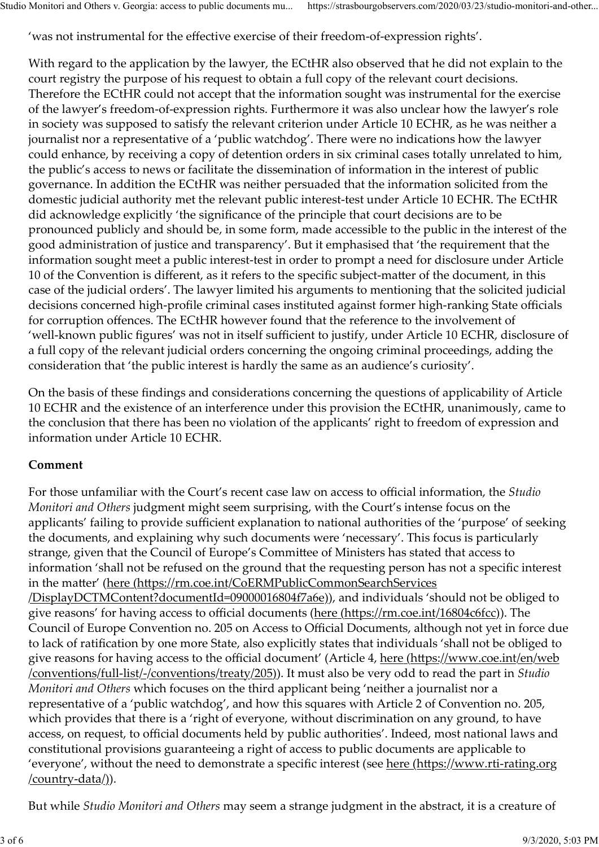'was not instrumental for the effective exercise of their freedom-of-expression rights'.

With regard to the application by the lawyer, the ECtHR also observed that he did not explain to the court registry the purpose of his request to obtain a full copy of the relevant court decisions. Therefore the ECtHR could not accept that the information sought was instrumental for the exercise of the lawyer's freedom-of-expression rights. Furthermore it was also unclear how the lawyer's role in society was supposed to satisfy the relevant criterion under Article 10 ECHR, as he was neither a journalist nor a representative of a 'public watchdog'. There were no indications how the lawyer could enhance, by receiving a copy of detention orders in six criminal cases totally unrelated to him, the public's access to news or facilitate the dissemination of information in the interest of public governance. In addition the ECtHR was neither persuaded that the information solicited from the domestic judicial authority met the relevant public interest-test under Article 10 ECHR. The ECtHR did acknowledge explicitly 'the significance of the principle that court decisions are to be pronounced publicly and should be, in some form, made accessible to the public in the interest of the good administration of justice and transparency'. But it emphasised that 'the requirement that the information sought meet a public interest-test in order to prompt a need for disclosure under Article 10 of the Convention is different, as it refers to the specific subject-matter of the document, in this case of the judicial orders'. The lawyer limited his arguments to mentioning that the solicited judicial decisions concerned high-profile criminal cases instituted against former high-ranking State officials for corruption offences. The ECtHR however found that the reference to the involvement of 'well-known public figures' was not in itself sufficient to justify, under Article 10 ECHR, disclosure of a full copy of the relevant judicial orders concerning the ongoing criminal proceedings, adding the consideration that 'the public interest is hardly the same as an audience's curiosity'. Studio Monitori and Others v. Georgia: access to public documents mu... https://strasbourgobservers.com/2020/03/23/studio-monitori-and-other...<br>
'was not instrumental for the effective exercise of their freedom-of-expressi

On the basis of these findings and considerations concerning the questions of applicability of Article 10 ECHR and the existence of an interference under this provision the ECtHR, unanimously, came to the conclusion that there has been no violation of the applicants' right to freedom of expression and information under Article 10 ECHR.

### Comment

For those unfamiliar with the Court's recent case law on access to official information, the Studio Monitori and Others judgment might seem surprising, with the Court's intense focus on the applicants' failing to provide sufficient explanation to national authorities of the 'purpose' of seeking the documents, and explaining why such documents were 'necessary'. This focus is particularly strange, given that the Council of Europe's Committee of Ministers has stated that access to information 'shall not be refused on the ground that the requesting person has not a specific interest in the matter' (here (https://rm.coe.int/CoERMPublicCommonSearchServices /DisplayDCTMContent?documentId=09000016804f7a6e)), and individuals 'should not be obliged to give reasons' for having access to official documents (here (https://rm.coe.int/16804c6fcc)). The Council of Europe Convention no. 205 on Access to Official Documents, although not yet in force due to lack of ratification by one more State, also explicitly states that individuals 'shall not be obliged to give reasons for having access to the official document' (Article 4, here (https://www.coe.int/en/web /conventions/full-list/-/conventions/treaty/205)). It must also be very odd to read the part in Studio Monitori and Others which focuses on the third applicant being 'neither a journalist nor a representative of a 'public watchdog', and how this squares with Article 2 of Convention no. 205, which provides that there is a 'right of everyone, without discrimination on any ground, to have access, on request, to official documents held by public authorities'. Indeed, most national laws and constitutional provisions guaranteeing a right of access to public documents are applicable to 'everyone', without the need to demonstrate a specific interest (see here (https://www.rti-rating.org /country-data/)).

But while Studio Monitori and Others may seem a strange judgment in the abstract, it is a creature of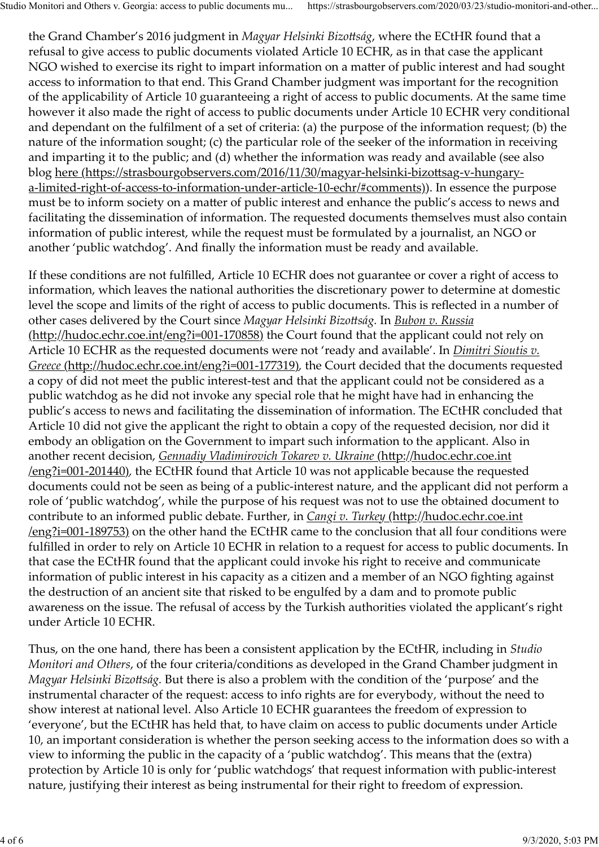the Grand Chamber's 2016 judgment in Magyar Helsinki Bizottság, where the ECtHR found that a refusal to give access to public documents violated Article 10 ECHR, as in that case the applicant NGO wished to exercise its right to impart information on a matter of public interest and had sought access to information to that end. This Grand Chamber judgment was important for the recognition of the applicability of Article 10 guaranteeing a right of access to public documents. At the same time however it also made the right of access to public documents under Article 10 ECHR very conditional and dependant on the fulfilment of a set of criteria: (a) the purpose of the information request; (b) the nature of the information sought; (c) the particular role of the seeker of the information in receiving and imparting it to the public; and (d) whether the information was ready and available (see also blog here (https://strasbourgobservers.com/2016/11/30/magyar-helsinki-bizottsag-v-hungarya-limited-right-of-access-to-information-under-article-10-echr/#comments)). In essence the purpose must be to inform society on a matter of public interest and enhance the public's access to news and facilitating the dissemination of information. The requested documents themselves must also contain information of public interest, while the request must be formulated by a journalist, an NGO or another 'public watchdog'. And finally the information must be ready and available. Studio Monitori and Others v. Georgia: access to public documents mu... https://strasbourgobservers.com/2020/03/23/studio-monitori-and-other...<br>the Grand Chamber's 2016 judgment in *Magyar Helsinki Bizottság*, where the EC

If these conditions are not fulfilled, Article 10 ECHR does not guarantee or cover a right of access to information, which leaves the national authorities the discretionary power to determine at domestic level the scope and limits of the right of access to public documents. This is reflected in a number of other cases delivered by the Court since Magyar Helsinki Bizottság. In Bubon v. Russia (http://hudoc.echr.coe.int/eng?i=001-170858) the Court found that the applicant could not rely on Article 10 ECHR as the requested documents were not 'ready and available'. In *Dimitri Sioutis v*. Greece (http://hudoc.echr.coe.int/eng?i=001-177319), the Court decided that the documents requested a copy of did not meet the public interest-test and that the applicant could not be considered as a public watchdog as he did not invoke any special role that he might have had in enhancing the public's access to news and facilitating the dissemination of information. The ECtHR concluded that Article 10 did not give the applicant the right to obtain a copy of the requested decision, nor did it embody an obligation on the Government to impart such information to the applicant. Also in another recent decision, Gennadiy Vladimirovich Tokarev v. Ukraine (http://hudoc.echr.coe.int /eng?i=001-201440), the ECtHR found that Article 10 was not applicable because the requested documents could not be seen as being of a public-interest nature, and the applicant did not perform a role of 'public watchdog', while the purpose of his request was not to use the obtained document to contribute to an informed public debate. Further, in *Cangi v. Turkey (http://hudoc.echr.coe.int* /eng?i=001-189753) on the other hand the ECtHR came to the conclusion that all four conditions were fulfilled in order to rely on Article 10 ECHR in relation to a request for access to public documents. In that case the ECtHR found that the applicant could invoke his right to receive and communicate information of public interest in his capacity as a citizen and a member of an NGO fighting against the destruction of an ancient site that risked to be engulfed by a dam and to promote public awareness on the issue. The refusal of access by the Turkish authorities violated the applicant's right under Article 10 ECHR.

Thus, on the one hand, there has been a consistent application by the ECtHR, including in Studio Monitori and Others, of the four criteria/conditions as developed in the Grand Chamber judgment in Magyar Helsinki Bizottság. But there is also a problem with the condition of the 'purpose' and the instrumental character of the request: access to info rights are for everybody, without the need to show interest at national level. Also Article 10 ECHR guarantees the freedom of expression to 'everyone', but the ECtHR has held that, to have claim on access to public documents under Article 10, an important consideration is whether the person seeking access to the information does so with a view to informing the public in the capacity of a 'public watchdog'. This means that the (extra) protection by Article 10 is only for 'public watchdogs' that request information with public-interest nature, justifying their interest as being instrumental for their right to freedom of expression.